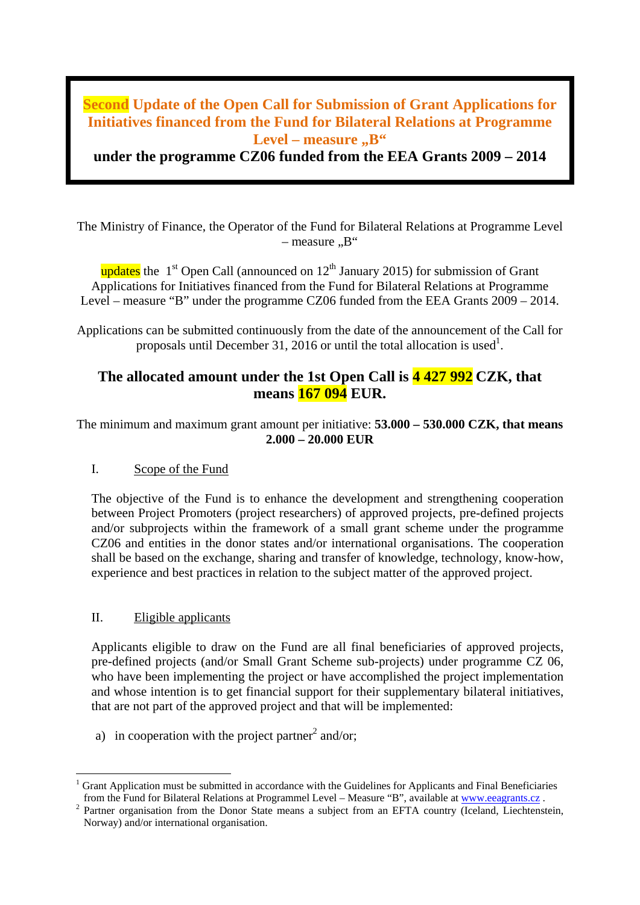# **Second Update of the Open Call for Submission of Grant Applications for Initiatives financed from the Fund for Bilateral Relations at Programme**  Level – measure "B"

**under the programme CZ06 funded from the EEA Grants 2009 – 2014**

The Ministry of Finance, the Operator of the Fund for Bilateral Relations at Programme Level  $-$  measure  $\mathbb{R}^4$ 

updates the  $1<sup>st</sup>$  Open Call (announced on  $12<sup>th</sup>$  January 2015) for submission of Grant Applications for Initiatives financed from the Fund for Bilateral Relations at Programme Level – measure "B" under the programme CZ06 funded from the EEA Grants 2009 – 2014.

Applications can be submitted continuously from the date of the announcement of the Call for proposals until December 31, 2016 or until the total allocation is used<sup>1</sup>.

## **The allocated amount under the 1st Open Call is 4 427 992 CZK, that means 167 094 EUR.**

The minimum and maximum grant amount per initiative: **53.000 – 530.000 CZK, that means 2.000 – 20.000 EUR**

## I. Scope of the Fund

The objective of the Fund is to enhance the development and strengthening cooperation between Project Promoters (project researchers) of approved projects, pre-defined projects and/or subprojects within the framework of a small grant scheme under the programme CZ06 and entities in the donor states and/or international organisations. The cooperation shall be based on the exchange, sharing and transfer of knowledge, technology, know-how, experience and best practices in relation to the subject matter of the approved project.

## II. Eligible applicants

Applicants eligible to draw on the Fund are all final beneficiaries of approved projects, pre-defined projects (and/or Small Grant Scheme sub-projects) under programme CZ 06, who have been implementing the project or have accomplished the project implementation and whose intention is to get financial support for their supplementary bilateral initiatives, that are not part of the approved project and that will be implemented:

a) in cooperation with the project partner<sup>2</sup> and/or:

Grant Application must be submitted in accordance with the Guidelines for Applicants and Final Beneficiaries from the Fund for Bilateral Relations at Programmel Level – Measure "B", available at www.eeagrants.cz.

Partner organisation from the Donor State means a subject from an EFTA country (Iceland, Liechtenstein, Norway) and/or international organisation.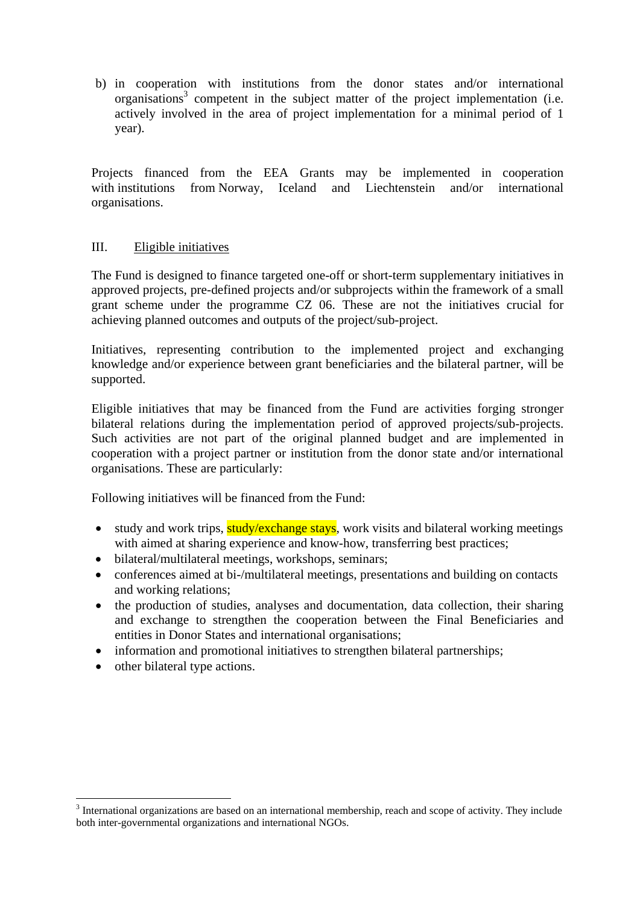b) in cooperation with institutions from the donor states and/or international organisations <sup>3</sup> competent in the subject matter of the project implementation (i.e. actively involved in the area of project implementation for a minimal period of 1 year).

Projects financed from the EEA Grants may be implemented in cooperation with institutions from Norway, Iceland and Liechtenstein and/or international organisations.

#### III. Eligible initiatives

The Fund is designed to finance targeted one-off or short-term supplementary initiatives in approved projects, pre-defined projects and/or subprojects within the framework of a small grant scheme under the programme CZ 06. These are not the initiatives crucial for achieving planned outcomes and outputs of the project/sub-project.

Initiatives, representing contribution to the implemented project and exchanging knowledge and/or experience between grant beneficiaries and the bilateral partner, will be supported.

Eligible initiatives that may be financed from the Fund are activities forging stronger bilateral relations during the implementation period of approved projects/sub-projects. Such activities are not part of the original planned budget and are implemented in cooperation with a project partner or institution from the donor state and/or international organisations. These are particularly:

Following initiatives will be financed from the Fund:

- study and work trips, study/exchange stays, work visits and bilateral working meetings with aimed at sharing experience and know-how, transferring best practices;
- bilateral/multilateral meetings, workshops, seminars;
- conferences aimed at bi-/multilateral meetings, presentations and building on contacts and working relations;
- the production of studies, analyses and documentation, data collection, their sharing and exchange to strengthen the cooperation between the Final Beneficiaries and entities in Donor States and international organisations;
- information and promotional initiatives to strengthen bilateral partnerships;
- other bilateral type actions.

<sup>&</sup>lt;sup>3</sup> International organizations are based on an international membership, reach and scope of activity. They include both inter-governmental organizations and international NGOs.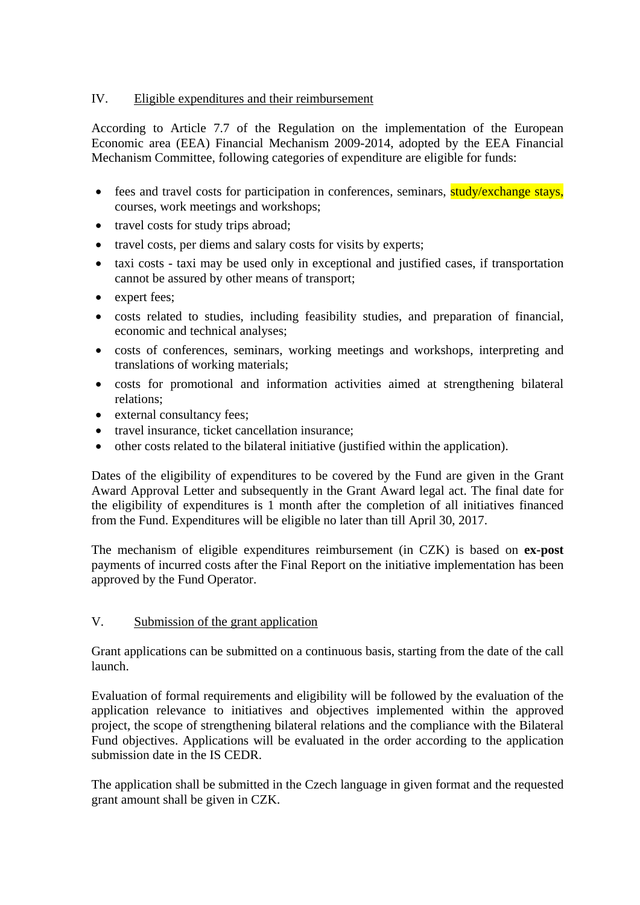## IV. Eligible expenditures and their reimbursement

According to Article 7.7 of the Regulation on the implementation of the European Economic area (EEA) Financial Mechanism 2009-2014, adopted by the EEA Financial Mechanism Committee, following categories of expenditure are eligible for funds:

- fees and travel costs for participation in conferences, seminars, study/exchange stays, courses, work meetings and workshops;
- travel costs for study trips abroad;
- travel costs, per diems and salary costs for visits by experts;
- taxi costs taxi may be used only in exceptional and justified cases, if transportation cannot be assured by other means of transport;
- expert fees:
- costs related to studies, including feasibility studies, and preparation of financial, economic and technical analyses;
- costs of conferences, seminars, working meetings and workshops, interpreting and translations of working materials;
- costs for promotional and information activities aimed at strengthening bilateral relations;
- external consultancy fees;
- travel insurance, ticket cancellation insurance:
- other costs related to the bilateral initiative (justified within the application).

Dates of the eligibility of expenditures to be covered by the Fund are given in the Grant Award Approval Letter and subsequently in the Grant Award legal act. The final date for the eligibility of expenditures is 1 month after the completion of all initiatives financed from the Fund. Expenditures will be eligible no later than till April 30, 2017.

The mechanism of eligible expenditures reimbursement (in CZK) is based on **ex-post** payments of incurred costs after the Final Report on the initiative implementation has been approved by the Fund Operator.

## V. Submission of the grant application

Grant applications can be submitted on a continuous basis, starting from the date of the call launch.

Evaluation of formal requirements and eligibility will be followed by the evaluation of the application relevance to initiatives and objectives implemented within the approved project, the scope of strengthening bilateral relations and the compliance with the Bilateral Fund objectives. Applications will be evaluated in the order according to the application submission date in the IS CEDR.

The application shall be submitted in the Czech language in given format and the requested grant amount shall be given in CZK.